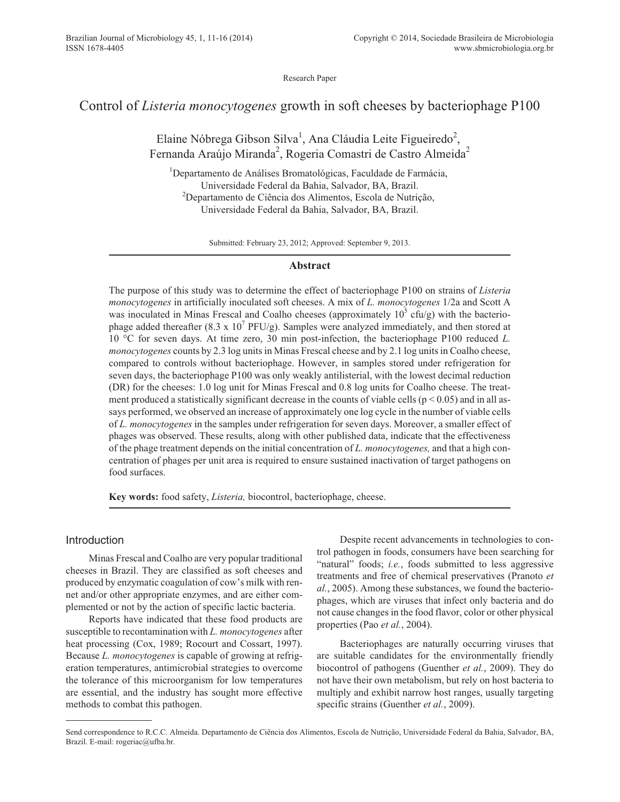Research Paper

# Control of *Listeria monocytogenes* growth in soft cheeses by bacteriophage P100

Elaine Nóbrega Gibson Silva<sup>1</sup>, Ana Cláudia Leite Figueiredo<sup>2</sup>, Fernanda Araújo Miranda<sup>2</sup>, Rogeria Comastri de Castro Almeida<sup>2</sup>

<sup>1</sup>Departamento de Análises Bromatológicas, Faculdade de Farmácia, Universidade Federal da Bahia, Salvador, BA, Brazil. <sup>2</sup>Departamento de Ciência dos Alimentos, Escola de Nutrição, Universidade Federal da Bahia, Salvador, BA, Brazil.

Submitted: February 23, 2012; Approved: September 9, 2013.

## **Abstract**

The purpose of this study was to determine the effect of bacteriophage P100 on strains of *Listeria monocytogenes* in artificially inoculated soft cheeses. A mix of *L. monocytogenes* 1/2a and Scott A was inoculated in Minas Frescal and Coalho cheeses (approximately  $10^{\circ}$  cfu/g) with the bacteriophage added thereafter  $(8.3 \times 10^7 \text{ PFU/g})$ . Samples were analyzed immediately, and then stored at 10 °C for seven days. At time zero, 30 min post-infection, the bacteriophage P100 reduced *L. monocytogenes* counts by 2.3 log units in Minas Frescal cheese and by 2.1 log units in Coalho cheese, compared to controls without bacteriophage. However, in samples stored under refrigeration for seven days, the bacteriophage P100 was only weakly antilisterial, with the lowest decimal reduction (DR) for the cheeses: 1.0 log unit for Minas Frescal and 0.8 log units for Coalho cheese. The treatment produced a statistically significant decrease in the counts of viable cells ( $p < 0.05$ ) and in all assays performed, we observed an increase of approximately one log cycle in the number of viable cells of *L. monocytogenes* in the samples under refrigeration for seven days. Moreover, a smaller effect of phages was observed. These results, along with other published data, indicate that the effectiveness of the phage treatment depends on the initial concentration of *L. monocytogenes,* and that a high concentration of phages per unit area is required to ensure sustained inactivation of target pathogens on food surfaces.

**Key words:** food safety, *Listeria,* biocontrol, bacteriophage, cheese.

# Introduction

Minas Frescal and Coalho are very popular traditional cheeses in Brazil. They are classified as soft cheeses and produced by enzymatic coagulation of cow's milk with rennet and/or other appropriate enzymes, and are either complemented or not by the action of specific lactic bacteria.

Reports have indicated that these food products are susceptible to recontamination with *L. monocytogenes* after heat processing (Cox, 1989; Rocourt and Cossart, 1997). Because *L. monocytogenes* is capable of growing at refrigeration temperatures, antimicrobial strategies to overcome the tolerance of this microorganism for low temperatures are essential, and the industry has sought more effective methods to combat this pathogen.

Despite recent advancements in technologies to control pathogen in foods, consumers have been searching for "natural" foods; *i.e.*, foods submitted to less aggressive treatments and free of chemical preservatives (Pranoto *et al.*, 2005). Among these substances, we found the bacteriophages, which are viruses that infect only bacteria and do not cause changes in the food flavor, color or other physical properties (Pao *et al.*, 2004).

Bacteriophages are naturally occurring viruses that are suitable candidates for the environmentally friendly biocontrol of pathogens (Guenther *et al.*, 2009). They do not have their own metabolism, but rely on host bacteria to multiply and exhibit narrow host ranges, usually targeting specific strains (Guenther *et al.*, 2009).

Send correspondence to R.C.C. Almeida. Departamento de Ciência dos Alimentos, Escola de Nutrição, Universidade Federal da Bahia, Salvador, BA, Brazil. E-mail: rogeriac@ufba.br.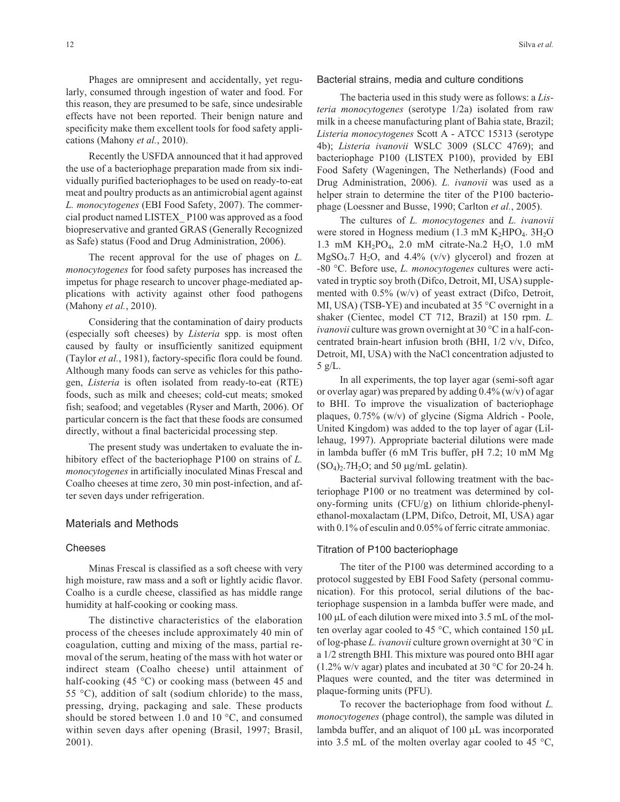Phages are omnipresent and accidentally, yet regularly, consumed through ingestion of water and food. For this reason, they are presumed to be safe, since undesirable effects have not been reported. Their benign nature and specificity make them excellent tools for food safety applications (Mahony *et al.*, 2010).

Recently the USFDA announced that it had approved the use of a bacteriophage preparation made from six individually purified bacteriophages to be used on ready-to-eat meat and poultry products as an antimicrobial agent against *L. monocytogenes* (EBI Food Safety, 2007). The commercial product named LISTEX\_ P100 was approved as a food biopreservative and granted GRAS (Generally Recognized as Safe) status (Food and Drug Administration, 2006).

The recent approval for the use of phages on *L. monocytogenes* for food safety purposes has increased the impetus for phage research to uncover phage-mediated applications with activity against other food pathogens (Mahony *et al.*, 2010).

Considering that the contamination of dairy products (especially soft cheeses) by *Listeria* spp. is most often caused by faulty or insufficiently sanitized equipment (Taylor *et al.*, 1981), factory-specific flora could be found. Although many foods can serve as vehicles for this pathogen, *Listeria* is often isolated from ready-to-eat (RTE) foods, such as milk and cheeses; cold-cut meats; smoked fish; seafood; and vegetables (Ryser and Marth, 2006). Of particular concern is the fact that these foods are consumed directly, without a final bactericidal processing step.

The present study was undertaken to evaluate the inhibitory effect of the bacteriophage P100 on strains of *L. monocytogenes* in artificially inoculated Minas Frescal and Coalho cheeses at time zero, 30 min post-infection, and after seven days under refrigeration.

# Materials and Methods

#### Cheeses

Minas Frescal is classified as a soft cheese with very high moisture, raw mass and a soft or lightly acidic flavor. Coalho is a curdle cheese, classified as has middle range humidity at half-cooking or cooking mass.

The distinctive characteristics of the elaboration process of the cheeses include approximately 40 min of coagulation, cutting and mixing of the mass, partial removal of the serum, heating of the mass with hot water or indirect steam (Coalho cheese) until attainment of half-cooking (45 °C) or cooking mass (between 45 and 55 °C), addition of salt (sodium chloride) to the mass, pressing, drying, packaging and sale. These products should be stored between 1.0 and 10  $^{\circ}$ C, and consumed within seven days after opening (Brasil, 1997; Brasil, 2001).

#### Bacterial strains, media and culture conditions

The bacteria used in this study were as follows: a *Listeria monocytogenes* (serotype 1/2a) isolated from raw milk in a cheese manufacturing plant of Bahia state, Brazil; *Listeria monocytogenes* Scott A - ATCC 15313 (serotype 4b); *Listeria ivanovii* WSLC 3009 (SLCC 4769); and bacteriophage P100 (LISTEX P100), provided by EBI Food Safety (Wageningen, The Netherlands) (Food and Drug Administration, 2006). *L. ivanovii* was used as a helper strain to determine the titer of the P100 bacteriophage (Loessner and Busse, 1990; Carlton *et al.*, 2005).

The cultures of *L. monocytogenes* and *L. ivanovii* were stored in Hogness medium  $(1.3 \text{ mM } K_2 \text{HPO}_4, 3H_2 \text{O})$ 1.3 mM KH<sub>2</sub>PO<sub>4</sub>, 2.0 mM citrate-Na.2 H<sub>2</sub>O, 1.0 mM  $MgSO<sub>4</sub>$ .7 H<sub>2</sub>O, and 4.4% (v/v) glycerol) and frozen at -80 °C. Before use, *L. monocytogenes* cultures were activated in tryptic soy broth (Difco, Detroit, MI, USA) supplemented with 0.5% (w/v) of yeast extract (Difco, Detroit, MI, USA) (TSB-YE) and incubated at 35 °C overnight in a shaker (Cientec, model CT 712, Brazil) at 150 rpm. *L. ivanovii* culture was grown overnight at 30 °C in a half-concentrated brain-heart infusion broth (BHI, 1/2 v/v, Difco, Detroit, MI, USA) with the NaCl concentration adjusted to 5 g/L.

In all experiments, the top layer agar (semi-soft agar or overlay agar) was prepared by adding  $0.4\%$  (w/v) of agar to BHI. To improve the visualization of bacteriophage plaques, 0.75% (w/v) of glycine (Sigma Aldrich - Poole, United Kingdom) was added to the top layer of agar (Lillehaug, 1997). Appropriate bacterial dilutions were made in lambda buffer (6 mM Tris buffer, pH 7.2; 10 mM Mg  $(SO<sub>4</sub>)<sub>2</sub>$ .7H<sub>2</sub>O; and 50  $\mu$ g/mL gelatin).

Bacterial survival following treatment with the bacteriophage P100 or no treatment was determined by colony-forming units (CFU/g) on lithium chloride-phenylethanol-moxalactam (LPM, Difco, Detroit, MI, USA) agar with 0.1% of esculin and 0.05% of ferric citrate ammoniac.

#### Titration of P100 bacteriophage

The titer of the P100 was determined according to a protocol suggested by EBI Food Safety (personal communication). For this protocol, serial dilutions of the bacteriophage suspension in a lambda buffer were made, and  $100 \mu L$  of each dilution were mixed into 3.5 mL of the molten overlay agar cooled to 45 °C, which contained 150  $\mu$ L of log-phase *L. ivanovii* culture grown overnight at 30 °C in a 1/2 strength BHI. This mixture was poured onto BHI agar (1.2% w/v agar) plates and incubated at 30 °C for 20-24 h. Plaques were counted, and the titer was determined in plaque-forming units (PFU).

To recover the bacteriophage from food without *L. monocytogenes* (phage control), the sample was diluted in lambda buffer, and an aliquot of 100 µL was incorporated into 3.5 mL of the molten overlay agar cooled to 45 °C,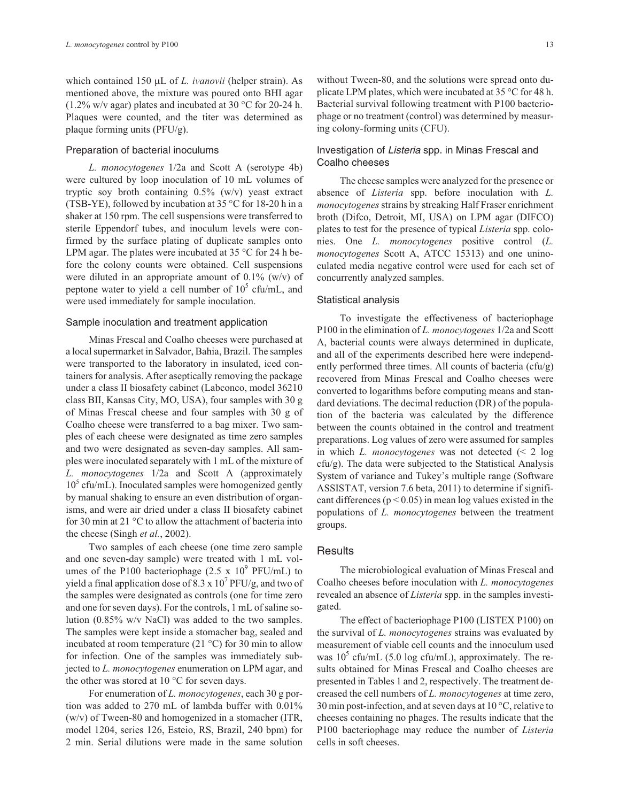which contained 150 µL of *L. ivanovii* (helper strain). As mentioned above, the mixture was poured onto BHI agar  $(1.2\% \text{ w/v agar})$  plates and incubated at 30 °C for 20-24 h. Plaques were counted, and the titer was determined as plaque forming units (PFU/g).

#### Preparation of bacterial inoculums

*L. monocytogenes* 1/2a and Scott A (serotype 4b) were cultured by loop inoculation of 10 mL volumes of tryptic soy broth containing  $0.5\%$  (w/v) yeast extract (TSB-YE), followed by incubation at 35 °C for 18-20 h in a shaker at 150 rpm. The cell suspensions were transferred to sterile Eppendorf tubes, and inoculum levels were confirmed by the surface plating of duplicate samples onto LPM agar. The plates were incubated at  $35^{\circ}$ C for 24 h before the colony counts were obtained. Cell suspensions were diluted in an appropriate amount of 0.1% (w/v) of peptone water to yield a cell number of  $10^5$  cfu/mL, and were used immediately for sample inoculation.

#### Sample inoculation and treatment application

Minas Frescal and Coalho cheeses were purchased at a local supermarket in Salvador, Bahia, Brazil. The samples were transported to the laboratory in insulated, iced containers for analysis. After aseptically removing the package under a class II biosafety cabinet (Labconco, model 36210 class BII, Kansas City, MO, USA), four samples with 30 g of Minas Frescal cheese and four samples with 30 g of Coalho cheese were transferred to a bag mixer. Two samples of each cheese were designated as time zero samples and two were designated as seven-day samples. All samples were inoculated separately with 1 mL of the mixture of *L. monocytogenes* 1/2a and Scott A (approximately  $10<sup>5</sup>$  cfu/mL). Inoculated samples were homogenized gently by manual shaking to ensure an even distribution of organisms, and were air dried under a class II biosafety cabinet for 30 min at 21 °C to allow the attachment of bacteria into the cheese (Singh *et al.*, 2002).

Two samples of each cheese (one time zero sample and one seven-day sample) were treated with 1 mL volumes of the P100 bacteriophage (2.5 x  $10^9$  PFU/mL) to yield a final application dose of 8.3 x  $10^7$  PFU/g, and two of the samples were designated as controls (one for time zero and one for seven days). For the controls, 1 mL of saline solution (0.85% w/v NaCl) was added to the two samples. The samples were kept inside a stomacher bag, sealed and incubated at room temperature (21  $^{\circ}$ C) for 30 min to allow for infection. One of the samples was immediately subjected to *L. monocytogenes* enumeration on LPM agar, and the other was stored at 10 °C for seven days.

For enumeration of *L. monocytogenes*, each 30 g portion was added to 270 mL of lambda buffer with 0.01% (w/v) of Tween-80 and homogenized in a stomacher (ITR, model 1204, series 126, Esteio, RS, Brazil, 240 bpm) for 2 min. Serial dilutions were made in the same solution without Tween-80, and the solutions were spread onto duplicate LPM plates, which were incubated at 35 °C for 48 h. Bacterial survival following treatment with P100 bacteriophage or no treatment (control) was determined by measuring colony-forming units (CFU).

# Investigation of Listeria spp. in Minas Frescal and Coalho cheeses

The cheese samples were analyzed for the presence or absence of *Listeria* spp. before inoculation with *L. monocytogenes*strains by streaking Half Fraser enrichment broth (Difco, Detroit, MI, USA) on LPM agar (DIFCO) plates to test for the presence of typical *Listeria* spp. colonies. One *L. monocytogenes* positive control (*L. monocytogenes* Scott A, ATCC 15313) and one uninoculated media negative control were used for each set of concurrently analyzed samples.

#### Statistical analysis

To investigate the effectiveness of bacteriophage P100 in the elimination of *L. monocytogenes* 1/2a and Scott A, bacterial counts were always determined in duplicate, and all of the experiments described here were independently performed three times. All counts of bacteria (cfu/g) recovered from Minas Frescal and Coalho cheeses were converted to logarithms before computing means and standard deviations. The decimal reduction (DR) of the population of the bacteria was calculated by the difference between the counts obtained in the control and treatment preparations. Log values of zero were assumed for samples in which *L. monocytogenes* was not detected (< 2 log cfu/g). The data were subjected to the Statistical Analysis System of variance and Tukey's multiple range (Software ASSISTAT, version 7.6 beta, 2011) to determine if significant differences ( $p < 0.05$ ) in mean log values existed in the populations of *L. monocytogenes* between the treatment groups.

## **Results**

The microbiological evaluation of Minas Frescal and Coalho cheeses before inoculation with *L. monocytogenes* revealed an absence of *Listeria* spp. in the samples investigated.

The effect of bacteriophage P100 (LISTEX P100) on the survival of *L. monocytogenes* strains was evaluated by measurement of viable cell counts and the innoculum used was  $10^5$  cfu/mL (5.0 log cfu/mL), approximately. The results obtained for Minas Frescal and Coalho cheeses are presented in Tables 1 and 2, respectively. The treatment decreased the cell numbers of *L. monocytogenes* at time zero, 30 min post-infection, and at seven days at  $10^{\circ}$ C, relative to cheeses containing no phages. The results indicate that the P100 bacteriophage may reduce the number of *Listeria* cells in soft cheeses.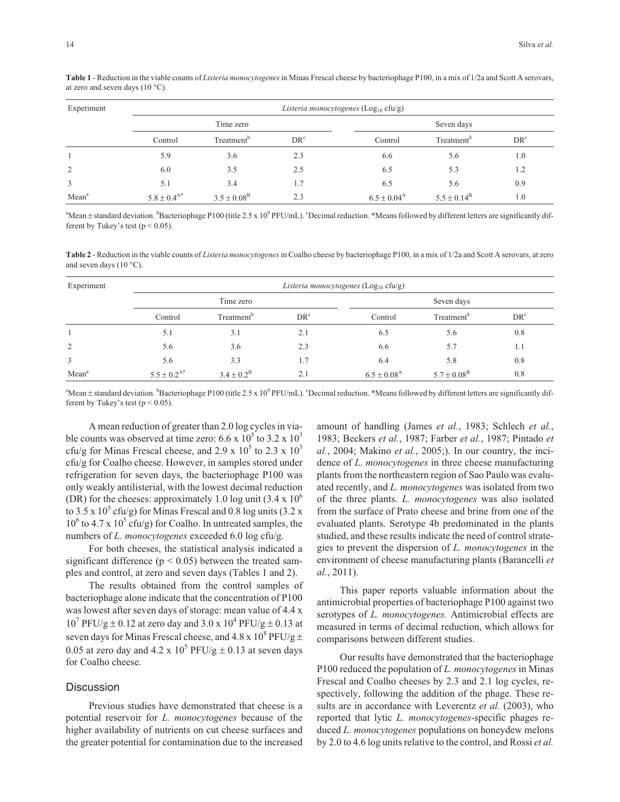| Experiment        | Listeria monocytogenes (Log <sub>10</sub> cfu/g) |                        |                 |                        |                        |                 |  |  |
|-------------------|--------------------------------------------------|------------------------|-----------------|------------------------|------------------------|-----------------|--|--|
|                   | Time zero                                        |                        |                 | Seven days             |                        |                 |  |  |
|                   | Control                                          | Treatment <sup>b</sup> | DR <sup>c</sup> | Control                | Treatment <sup>o</sup> | DR <sup>c</sup> |  |  |
|                   | 5.9                                              | 3.6                    | 2.3             | 6.6                    | 5.6                    | 1.0             |  |  |
| 2                 | 6.0                                              | 3.5                    | 2.5             | 6.5                    | 5.3                    | 1.2             |  |  |
| 3                 | 5.1                                              | 3.4                    | 1.7             | 6.5                    | 5.6                    | 0.9             |  |  |
| Mean <sup>a</sup> | $5.8 \pm 0.4^{A*}$                               | $3.5 \pm 0.08^{\rm B}$ | 2.3             | $6.5 \pm 0.04^{\rm A}$ | $5.5 \pm 0.14^{\rm B}$ | 1.0             |  |  |

**Table 1** - Reduction in the viable counts of *Listeria monocytogenes*in Minas Frescal cheese by bacteriophage P100, in a mix of 1/2a and Scott A serovars, at zero and seven days  $(10 °C)$ .

<sup>a</sup>Mean ± standard deviation. <sup>b</sup>Bacteriophage P100 (title 2.5 x 10<sup>9</sup> PFU/mL). <sup>c</sup>Decimal reduction. \*Means followed by different letters are significantly different by Tukey's test ( $p < 0.05$ ).

**Table 2** - Reduction in the viable counts of *Listeria monocytogenes*in Coalho cheese by bacteriophage P100, in a mix of 1/2a and Scott A serovars, at zero and seven days (10 $\degree$ C).

| Experiment        | Listeria monocytogenes ( $Log10$ cfu/g) |                        |                 |                        |                        |                 |  |  |
|-------------------|-----------------------------------------|------------------------|-----------------|------------------------|------------------------|-----------------|--|--|
|                   |                                         | Time zero              |                 | Seven days             |                        |                 |  |  |
|                   | Control                                 | Treatment <sup>b</sup> | DR <sup>c</sup> | Control                | Treatment <sup>b</sup> | DR <sup>c</sup> |  |  |
|                   | 5.1                                     | 3.1                    | 2.1             | 6.5                    | 5.6                    | 0.8             |  |  |
| 2                 | 5.6                                     | 3.6                    | 2.3             | 6.6                    | 5.7                    | 1.1             |  |  |
| 3                 | 5.6                                     | 3.3                    | 1.7             | 6.4                    | 5.8                    | 0.8             |  |  |
| Mean <sup>a</sup> | $5.5 \pm 0.2^{A*}$                      | $3.4 \pm 0.2^{\rm B}$  | 2.1             | $6.5 \pm 0.08^{\rm A}$ | $5.7 \pm 0.08^{\rm B}$ | 0.8             |  |  |

<sup>a</sup>Mean ± standard deviation. <sup>b</sup>Bacteriophage P100 (title 2.5 x 10<sup>9</sup> PFU/mL). <sup>c</sup>Decimal reduction. \*Means followed by different letters are significantly different by Tukey's test ( $p < 0.05$ ).

A mean reduction of greater than 2.0 log cycles in viable counts was observed at time zero:  $6.6 \times 10^{5}$  to  $3.2 \times 10^{3}$ cfu/g for Minas Frescal cheese, and 2.9 x  $10^5$  to 2.3 x  $10^3$ cfu/g for Coalho cheese. However, in samples stored under refrigeration for seven days, the bacteriophage P100 was only weakly antilisterial, with the lowest decimal reduction (DR) for the cheeses: approximately 1.0 log unit  $(3.4 \times 10^{6}$ to 3.5 x  $10^5$  cfu/g) for Minas Frescal and 0.8 log units (3.2 x  $10^6$  to 4.7 x  $10^5$  cfu/g) for Coalho. In untreated samples, the numbers of *L. monocytogenes* exceeded 6.0 log cfu/g.

For both cheeses, the statistical analysis indicated a significant difference ( $p < 0.05$ ) between the treated samples and control, at zero and seven days (Tables 1 and 2).

The results obtained from the control samples of bacteriophage alone indicate that the concentration of P100 was lowest after seven days of storage: mean value of 4.4 x  $10^{7}$  PFU/g  $\pm$  0.12 at zero day and 3.0 x  $10^{4}$  PFU/g  $\pm$  0.13 at seven days for Minas Frescal cheese, and 4.8 x  $10^8$  PFU/g  $\pm$ 0.05 at zero day and 4.2 x  $10^5$  PFU/g  $\pm$  0.13 at seven days for Coalho cheese.

## **Discussion**

Previous studies have demonstrated that cheese is a potential reservoir for *L. monocytogenes* because of the higher availability of nutrients on cut cheese surfaces and the greater potential for contamination due to the increased

amount of handling (James *et al.*, 1983; Schlech *et al.*, 1983; Beckers *et al.*, 1987; Farber *et al.*, 1987; Pintado *et al.*, 2004; Makino *et al.*, 2005;). In our country, the incidence of *L. monocytogenes* in three cheese manufacturing plants from the northeastern region of Sao Paulo was evaluated recently, and *L. monocytogenes* was isolated from two of the three plants. *L. monocytogenes* was also isolated from the surface of Prato cheese and brine from one of the evaluated plants. Serotype 4b predominated in the plants studied, and these results indicate the need of control strategies to prevent the dispersion of *L. monocytogenes* in the environment of cheese manufacturing plants (Barancelli *et al.*, 2011).

This paper reports valuable information about the antimicrobial properties of bacteriophage P100 against two serotypes of *L. monocytogenes.* Antimicrobial effects are measured in terms of decimal reduction, which allows for comparisons between different studies.

Our results have demonstrated that the bacteriophage P100 reduced the population of *L. monocytogenes* in Minas Frescal and Coalho cheeses by 2.3 and 2.1 log cycles, respectively, following the addition of the phage. These results are in accordance with Leverentz *et al.* (2003), who reported that lytic *L. monocytogenes*-specific phages reduced *L. monocytogenes* populations on honeydew melons by 2.0 to 4.6 log units relative to the control, and Rossi *et al.*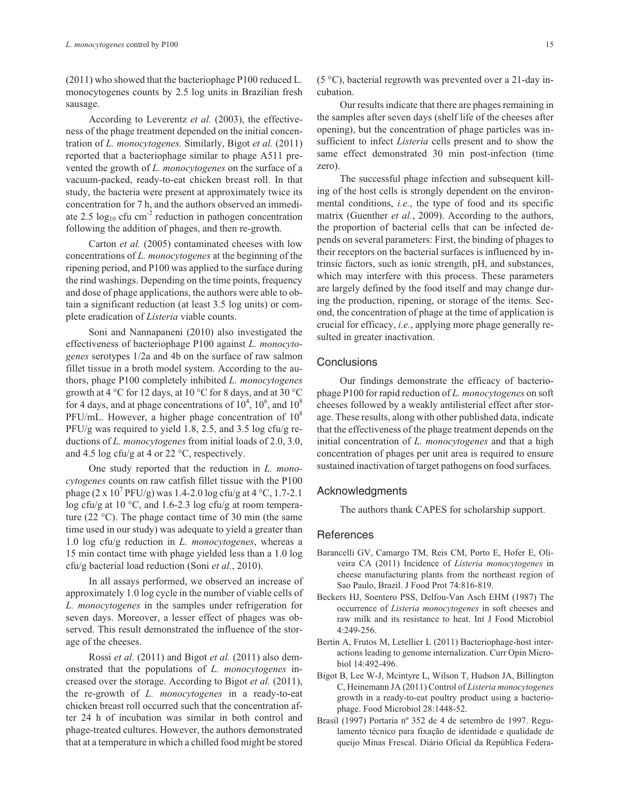(2011) who showed that the bacteriophage P100 reduced L. monocytogenes counts by 2.5 log units in Brazilian fresh sausage.

According to Leverentz *et al.* (2003), the effectiveness of the phage treatment depended on the initial concentration of *L. monocytogenes.* Similarly, Bigot *et al.* (2011) reported that a bacteriophage similar to phage A511 prevented the growth of *L. monocytogenes* on the surface of a vacuum-packed, ready-to-eat chicken breast roll. In that study, the bacteria were present at approximately twice its concentration for 7 h, and the authors observed an immediate 2.5  $log_{10}$  cfu cm<sup>-2</sup> reduction in pathogen concentration following the addition of phages, and then re-growth.

Carton *et al.* (2005) contaminated cheeses with low concentrations of *L. monocytogenes* at the beginning of the ripening period, and P100 was applied to the surface during the rind washings. Depending on the time points, frequency and dose of phage applications, the authors were able to obtain a significant reduction (at least 3.5 log units) or complete eradication of *Listeria* viable counts.

Soni and Nannapaneni (2010) also investigated the effectiveness of bacteriophage P100 against *L. monocytogenes* serotypes 1/2a and 4b on the surface of raw salmon fillet tissue in a broth model system. According to the authors, phage P100 completely inhibited *L. monocytogenes* growth at 4  $\rm{°C}$  for 12 days, at 10  $\rm{°C}$  for 8 days, and at 30  $\rm{°C}$ for 4 days, and at phage concentrations of  $10^4$ ,  $10^6$ , and  $10^8$ PFU/mL. However, a higher phage concentration of  $10^8$ PFU/g was required to yield 1.8, 2.5, and 3.5 log cfu/g reductions of *L. monocytogenes* from initial loads of 2.0, 3.0, and 4.5 log cfu/g at 4 or 22  $\degree$ C, respectively.

One study reported that the reduction in *L. monocytogenes* counts on raw catfish fillet tissue with the P100 phage  $(2 \times 10^7 \text{ PFU/g})$  was 1.4-2.0 log cfu/g at 4 °C, 1.7-2.1 log cfu/g at 10 °C, and 1.6-2.3 log cfu/g at room temperature (22  $^{\circ}$ C). The phage contact time of 30 min (the same time used in our study) was adequate to yield a greater than 1.0 log cfu/g reduction in *L. monocytogenes*, whereas a 15 min contact time with phage yielded less than a 1.0 log cfu/g bacterial load reduction (Soni *et al.*, 2010).

In all assays performed, we observed an increase of approximately 1.0 log cycle in the number of viable cells of *L. monocytogenes* in the samples under refrigeration for seven days. Moreover, a lesser effect of phages was observed. This result demonstrated the influence of the storage of the cheeses.

Rossi *et al.* (2011) and Bigot *et al.* (2011) also demonstrated that the populations of *L. monocytogenes* increased over the storage. According to Bigot *et al.* (2011), the re-growth of *L. monocytogenes* in a ready-to-eat chicken breast roll occurred such that the concentration after 24 h of incubation was similar in both control and phage-treated cultures. However, the authors demonstrated that at a temperature in which a chilled food might be stored

(5 °C), bacterial regrowth was prevented over a 21-day incubation.

Our results indicate that there are phages remaining in the samples after seven days (shelf life of the cheeses after opening), but the concentration of phage particles was insufficient to infect *Listeria* cells present and to show the same effect demonstrated 30 min post-infection (time zero).

The successful phage infection and subsequent killing of the host cells is strongly dependent on the environmental conditions, *i.e.*, the type of food and its specific matrix (Guenther *et al.*, 2009). According to the authors, the proportion of bacterial cells that can be infected depends on several parameters: First, the binding of phages to their receptors on the bacterial surfaces is influenced by intrinsic factors, such as ionic strength, pH, and substances, which may interfere with this process. These parameters are largely defined by the food itself and may change during the production, ripening, or storage of the items. Second, the concentration of phage at the time of application is crucial for efficacy, *i.e.*, applying more phage generally resulted in greater inactivation.

# **Conclusions**

Our findings demonstrate the efficacy of bacteriophage P100 for rapid reduction of *L. monocytogenes* on soft cheeses followed by a weakly antilisterial effect after storage. These results, along with other published data, indicate that the effectiveness of the phage treatment depends on the initial concentration of *L. monocytogenes* and that a high concentration of phages per unit area is required to ensure sustained inactivation of target pathogens on food surfaces.

#### Acknowledgments

The authors thank CAPES for scholarship support.

#### **References**

- Barancelli GV, Camargo TM, Reis CM, Porto E, Hofer E, Oliveira CA (2011) Incidence of *Listeria monocytogenes* in cheese manufacturing plants from the northeast region of Sao Paulo, Brazil. J Food Prot 74:816-819.
- Beckers HJ, Soentero PSS, Delfou-Van Asch EHM (1987) The occurrence of *Listeria monocytogenes* in soft cheeses and raw milk and its resistance to heat. Int J Food Microbiol 4:249-256.
- Bertin A, Frutos M, Letellier L (2011) Bacteriophage-host interactions leading to genome internalization. Curr Opin Microbiol 14:492-496.
- Bigot B, Lee W-J, Mcintyre L, Wilson T, Hudson JA, Billington C, Heinemann JA (2011) Control of *Listeria monocytogenes* growth in a ready-to-eat poultry product using a bacteriophage. Food Microbiol 28:1448-52.
- Brasil (1997) Portaria nº 352 de 4 de setembro de 1997. Regulamento técnico para fixação de identidade e qualidade de queijo Minas Frescal. Diário Oficial da República Federa-